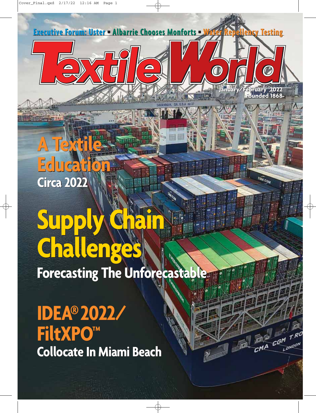**A Textile A Textile Education Education Circa 2022 Circa 2022**

# **Supply Chain Supply Chain Challenges Challenges**

**Forecasting The Unforecastable Forecasting The Unforecastable**

**Executive Forum: Uster • Albarrie Chooses Monforts • Water Repellency Testing** 

SAVANNAH, GA.U.S.A no 37

 $\frac{\mathbf{d}}{\nabla}$ 

**January/February 2022 Founded 1868 January/February 20221868**

 $\overline{\mathcal{C}}$ 

CMA COM

 $T$ R

LONDO!

COM

 $C^{M \overline{A}}$ 

 $\boldsymbol{O}$ 

**IDEA®2022/ IDEA®2022/ FiltXPO™ FiltXPO™ Collocate In Miami Beach Collocate In Miami Beach**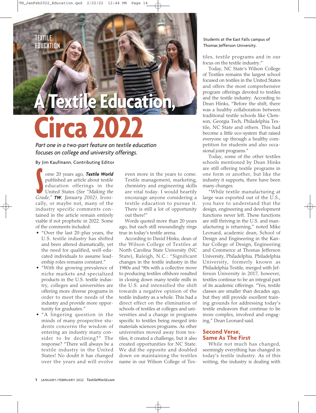# **TEXTILE EDUCATION**

# **A Textile Education**<br>
Part one in a two-part feature on textile education<br>
focuses on college and university offerings.<br>
By Jim Kaufmann, Contributing Editor<br>
ome 20 years ago, Textile World<br>
even more in the years to pub **Circa 2022**

*Part one in a two-part feature on textile education focuses on college and university offerings.*

By Jim Kaufmann, Contributing Editor

Production offerings in the<br>
United States (See "Making the<br>
Grade," **TW**, January 2002). Ironiome 20 years ago, *Textile World* published an article about textile education offerings in the United States (*See "Making the* cally, or maybe not, many of the industry specific comments contained in the article remain entirely viable if not prophetic in 2022. Some of the comments included:

- "Over the last 20-plus years, the U.S. textile industry has shifted and been altered dramatically, yet the need for qualified, well-educated individuals to assume leadership roles remains constant."
- "With the growing prevalence of niche markets and specialized products in the U.S. textile industry, colleges and universities are offering more diverse programs in order to meet the needs of the industry and provide more opportunity for graduates."
- "A lingering question in the minds of many prospective students concerns the wisdom of entering an industry many consider to be declining?" The response? "There will always be a textile industry in the United States! No doubt it has changed over the years and will evolve

even more in the years to come. Textile management, marketing, chemistry and engineering skills are vital today. I would heartily encourage anyone considering a textile education to pursue it. There is still a lot of opportunity out there!"

Words quoted more than 20 years ago, but each still resoundingly rings true in today's textile arena.

According to David Hinks, dean of the Wilson College of Textiles at North Carolina State University (NC State), Raleigh, N.C.: "Significant changes in the textile industry in the 1980s and '90s with a collective move to producing textiles offshore resulted in closing down many textile mills in the U.S. and intensified the shift towards a negative opinion of the textile industry as a whole. This had a direct effect on the elimination of schools of textiles at colleges and universities and a change in programs specific to textiles being merged into materials sciences programs. As other universities moved away from textiles, it created a challenge, but it also created opportunities for NC State. We did the opposite and doubled down on maintaining the textiles name in our Wilson College of Tex-

### Students at the East Falls campus of Thomas Jefferson University.

tiles, textile programs and in our focus on the textile industry."

Today, NC State's Wilson College of Textiles remains the largest school focused on textiles in the United States and offers the most comprehensive program offerings devoted to textiles and the textile industry. According to Dean Hinks, "Before the shift, there was a healthy collaboration between traditional textile schools like Clemson, Georgia Tech, Philadelphia Textile, NC State and others. This had become a little eco-system that raised everyone up through a healthy competition for students and also occasional joint programs."

Today, some of the other textiles schools mentioned by Dean Hinks are still offering textile programs in one form or another, but like the industry it supports, there have been many changes.

"While textile manufacturing at large was exported out of the U.S., you have to understand that the design, engineering and development functions never left. These functions are still thriving in the U.S. and manufacturing is returning," noted Mike Leonard, academic dean, School of Design and Engineering in the Kanbar College of Design, Engineering and Commerce at Thomas Jefferson University, Philadelphia. Philadelphia University, formerly known as Philadelphia Textile, merged with Jefferson University in 2017, however, textiles continue to be an integral part of its academic offerings. "Yes, textile classes are smaller than decades ago, but they still provide excellent training grounds for addressing today's textile endeavors that continue to be more complex, involved and engaging," Dean Leonard said.

# **Second Verse, Same As The First**

While not much has changed, seemingly everything has changed in today's textile industry. As of this writing, the industry is dealing with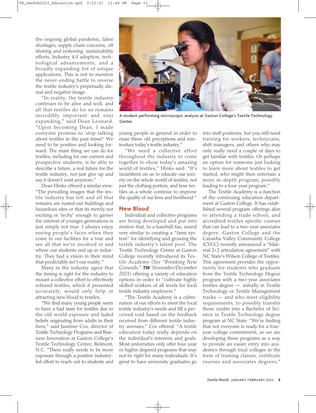the ongoing global pandemic, labor shortages, supply chain concerns, off shoring and reshoring, sustainability efforts, Industry 4.0 adoption, technological advancements, and a broadly expanding list of unique applications. This is not to mention the never-ending battle to reverse the textile industry's perpetually dismal and negative image.

"In reality, the textile industry continues to be alive and well, and all that textiles do for us remains incredibly important and ever expanding," said Dean Leonard. "Upon becoming Dean, I made everyone promise to 'stop talking about textiles in the past tense!' We need to be positive and looking forward. The main thing we can do for textiles, including for our current and prospective students, is be able to describe a future, a real future for the textile industry, not just give up and say it doesn't exist anymore."

Dean Hinks offered a similar view: "The prevailing images that the textile industry has left and all that remains are rusted out buildings and hazardous sites or that its merely not exciting or 'techy' enough to garner the interest of younger generations is just simply not true. I always enjoy seeing people's faces when they come to our facilities for a tour and see all that we're involved in and where our students end up in industry. They had a vision in their mind that predictably isn't our reality."

Many in the industry agree that the timing is right for the industry to mount a collective effort to effectively rebrand textiles, which if presented accurately, would only help in attracting new blood to textiles.

"We find many young people seem to have a bad taste for textiles due to the old-world exposure and faded beliefs originating from adults in their lives," said Jasmine Cox, director of Textile Technology Programs and Business Innovation at Gaston College's Textile Technology Center, Belmont, N.C. "There really needs to be more exposure through a positive industryled effort to reach out to students and



A student performing microscopic analysis at Gaston College's Textile Technology Center.

young people in general in order to erase these old perceptions and reintroduce today's textile industry."

"We need a collective effort throughout the industry to come together to show today's amazing world of textiles," Hinks said. "It's incumbent on us to educate our society on the whole world of textiles, not just the clothing portion, and how textiles as a whole continue to improve the quality of our lives and livelihood."

## **New Blood**

Individual and collective programs are being developed and put into motion that, to a baseball fan, sound very similar to creating a "farm system" for identifying and growing the textile industry's talent pool. The Textile Technology Center at Gaston College recently introduced its Textile Academy *(See "Breaking New Grounds," TW November/December 2021)* offering a variety of education options in order to "cultivate highly skilled workers of all levels for local textile industry employers."

"The Textile Academy is a culmination of our efforts to meet the local textile industry's needs and fill a perceived void based on the feedback received from different textile industry avenues," Cox offered. "A textile education today really depends on the individual's interests and goals. Most universities only offer four-year or higher degreed programs that may not be right for many individuals. It's great to have university graduates go into staff positions, but you still need training for workers, technicians, shift managers, and others who may only really need a couple of days to get familiar with textiles. Or perhaps an option for someone just looking to learn more about textiles to get started, who might then entertain a more in-depth program, possibly leading to a four-year program."

The Textile Academy is a function of the continuing education department at Gaston College. It has established several program offerings akin to attending a trade school, and accredited textiles specific courses that can lead to a two-year associates degree. Gaston College and the Catawba Valley Community College (CVCC) recently announced a "bilateral 2+2 articulation agreement" with NC State's Wilson College of Textiles. This agreement provides the opportunity for students who graduate from the Textile Technology Degree program with a two-year associates textiles degree — initially in Textile Technology or Textile Management tracks — and who meet eligibility requirements, to possibly transfer those credits into a Bachelor of Science in Textile Technology degree program at NC State. "We're finding that not everyone is ready for a fouryear college commitment, so we are developing these programs as a way to provide an easier entry into academics through local colleges in the form of training classes, certificate courses and associates degrees,"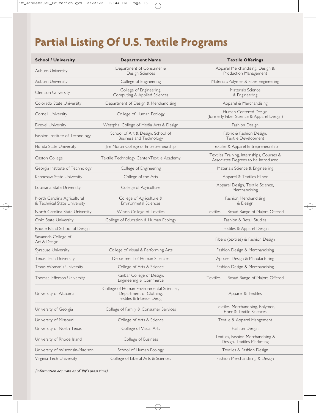# **Partial Listing Of U.S. Textile Programs**

| <b>School / University</b>                                  | <b>Department Name</b>                                                                            | <b>Textile Offerings</b>                                                         |
|-------------------------------------------------------------|---------------------------------------------------------------------------------------------------|----------------------------------------------------------------------------------|
| Auburn University                                           | Department of Consumer &<br>Design Sciences                                                       | Apparel Merchandising, Design &<br>Production Management                         |
| Auburn University                                           | College of Engineering                                                                            | Materials/Polymer & Fiber Engineering                                            |
| Clemson University                                          | College of Engineering,<br>Computing & Applied Sciences                                           | Materials Science<br>& Engineering                                               |
| Colorado State University                                   | Department of Design & Merchandising                                                              | Apparel & Merchandising                                                          |
| Cornell University                                          | College of Human Ecology                                                                          | Human Centered Design<br>(formerly Fiber Science & Apparel Design)               |
| Drexel University                                           | Westphal College of Media Arts & Design                                                           | Fashion Design                                                                   |
| Fashion Institute of Technology                             | School of Art & Design, School of<br><b>Business and Technology</b>                               | Fabric & Fashion Design,<br>Textile Development                                  |
| Florida State University                                    | Jim Moran College of Entrepreneurship                                                             | Textiles & Apparel Entrepreneurship                                              |
| Gaston College                                              | Textile Technology Center/Textile Academy                                                         | Textiles Training, Internships, Courses &<br>Associates Degrees to be Introduced |
| Georgia Institute of Technology                             | College of Engineering                                                                            | Materials Science & Engineering                                                  |
| Kennesaw State University                                   | College of the Arts                                                                               | Apparel & Textiles Minor                                                         |
| Louisiana State University                                  | College of Agriculture                                                                            | Apparel Design, Textile Science,<br>Merchandising                                |
| North Carolina Agricultural<br>& Technical State University | College of Agriculture &<br>Environmetal Sciences                                                 | Fashion Merchandising<br>& Design                                                |
| North Carolina State University                             | Wilson College of Textiles                                                                        | Textiles - Broad Range of Majors Offered                                         |
| Ohio State University                                       | College of Education & Human Ecology                                                              | Fashion & Retail Studies                                                         |
| Rhode Island School of Design                               |                                                                                                   | Textiles & Apparel Design                                                        |
| Savannah College of<br>Art & Design                         |                                                                                                   | Fibers (textiles) & Fashion Design                                               |
| Syracuse University                                         | College of Visual & Performing Arts                                                               | Fashion Design & Merchandising                                                   |
| <b>Texas Tech University</b>                                | Department of Human Sciences                                                                      | Apparel Design & Manufacturing                                                   |
| Texas Woman's University                                    | College of Arts & Science                                                                         | Fashion Design & Merchandising                                                   |
| Thomas Jefferson University                                 | Kanbar College of Design,<br>Engineering & Commerce                                               | Textiles - Broad Range of Majors Offered                                         |
| University of Alabama                                       | College of Human Environmental Sciences,<br>Department of Clothing,<br>Textiles & Interior Design | Apparel & Textiles                                                               |
| University of Georgia                                       | College of Family & Consumer Services                                                             | Textiles, Merchandising, Polymer,<br>Fiber & Textile Sciences                    |
| University of Missouri                                      | College of Arts & Science                                                                         | Textile & Apparel Mangement                                                      |
| University of North Texas                                   | College of Visual Arts                                                                            | Fashion Design                                                                   |
| University of Rhode Island                                  | College of Business                                                                               | Textiles, Fashion Merchandising &<br>Design, Textiles Marketing                  |
| University of Wisconsin-Madison                             | School of Human Ecology                                                                           | Textiles & Fashion Design                                                        |
| Virginia Tech University                                    | College of Liberal Arts & Sciences                                                                | Fashion Merchandising & Design                                                   |

*(information accurate as of TW's press time)*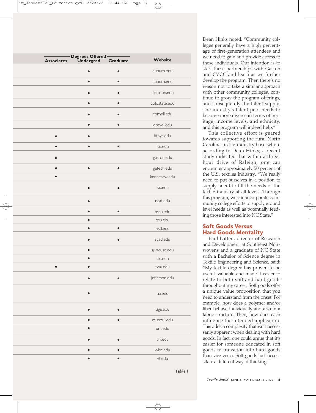| <b>Associates</b> | - Degrees Offered<br>Undergrad | <b>Graduate</b> | Website       |
|-------------------|--------------------------------|-----------------|---------------|
|                   | Ċ                              |                 | auburn.edu    |
|                   | $\bullet$                      | $\bullet$       | auburn.edu    |
|                   |                                |                 | clemson.edu   |
|                   |                                |                 | colostate.edu |
|                   |                                |                 | cornell.edu   |
|                   | $\bullet$                      | ä               | drexel.edu    |
|                   |                                |                 | fitnyc.edu    |
|                   | $\bullet$                      | $\bullet$       | fsu.edu       |
|                   |                                |                 | gaston.edu    |
| ●                 | $\bullet$                      | $\bullet$       | gatech.edu    |
|                   |                                |                 | kennesaw.edu  |
|                   |                                |                 | Isu.edu       |
|                   |                                |                 | ncat.edu      |
|                   | ●                              |                 | nscu.edu      |
|                   |                                |                 | osu.edu       |
|                   | $\bullet$                      | $\bullet$       | risd.edu      |
|                   |                                |                 | scad.edu      |
|                   | $\bullet$                      |                 | syracuse.edu  |
|                   |                                |                 | ttu.edu       |
|                   |                                |                 | twu.edu       |
|                   |                                |                 | jefferson.edu |
|                   |                                |                 | ua.edu        |
|                   |                                |                 | uga.edu       |
|                   |                                |                 | missoui.edu   |
|                   |                                |                 | unt.edu       |
|                   |                                |                 | uri.edu       |
|                   |                                |                 | wisc.edu      |
|                   |                                |                 | vt.edu        |

Dean Hinks noted. "Community colleges generally have a high percentage of first-generation attendees and we need to gain and provide access to these individuals. Our intention is to start these partnerships with Gaston and CVCC and learn as we further develop the program. Then there's no reason not to take a similar approach with other community colleges, continue to grow the program offerings, and subsequently the talent supply. The industry's talent pool needs to become more diverse in terms of heritage, income levels, and ethnicity, and this program will indeed help."

This collective effort is geared towards supporting the rural North Carolina textile industry base where according to Dean Hinks, a recent study indicated that within a threehour drive of Raleigh, one can encounter approximately 50 percent of the U.S. textiles industry. "We really need to put ourselves in a position to supply talent to fill the needs of the textile industry at all levels. Through this program, we can incorporate community college efforts to supply ground level needs as well as potentially feeding those interested into NC State."

# **Soft Goods Versus Hard Goods Mentality**

Paul Latten, director of Research and Development at Southeast Nonwovens and a graduate of NC State with a Bachelor of Science degree in Textile Engineering and Science, said: "My textile degree has proven to be useful, valuable and made it easier to relate to both soft and hard goods throughout my career. Soft goods offer a unique value proposition that you need to understand from the onset. For example, how does a polymer and/or fiber behave individually and also in a fabric structure. Then, how does each influence the intended application. This adds a complexity that isn't necessarily apparent when dealing with hard goods. In fact, one could argue that it's easier for someone educated in soft goods to transition into hard goods than vice versa. Soft goods just necessitate a different way of thinking."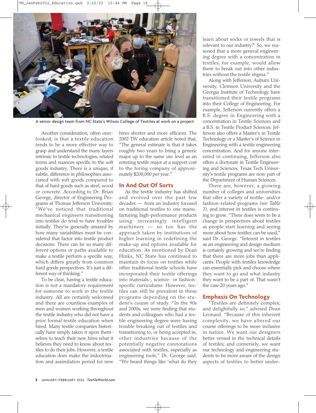

A senior design team from NC State's Wilson College of Textiles at work on a project.

Another consideration, often overlooked, is that a textile education tends to be a more effective way to grasp and understand the many layers intrinsic to textile technologies, related terms and nuances specific to the soft goods industry. There is a unique, if subtle, difference in philosophies associated with soft goods compared to that of hard goods such as steel, wood or concrete. According to Dr. Brian George, director of Engineering Programs at Thomas Jefferson University: "We've noticed that traditional mechanical engineers transitioning into textiles do tend to have troubles initially. They're generally amazed by how many variabilities must be considered that factor into textile product decisions. There can be so many different options or paths available to make a textile perform a specific way, which differs greatly from common hard goods perspectives. It's just a different way of thinking."

To be clear, having a textile education is not a mandatory requirement for someone to work in the textile industry. All are certainly welcomed and there are countless examples of men and women working throughout the textile industry who did not have a prior formal textile education when hired. Many textile companies historically have simply taken it upon themselves to teach their new hires what it believes they need to know about textiles to do their jobs. However, a textile education does make the indoctrination and assimilation period for new

hires shorter and more efficient. The 2002 TW education article noted that, "The general estimate is that it takes roughly two years to bring a generic major up to the same use level as an entering textile major at a support cost to the hiring company of approximately \$200,000 per year."

# **In And Out Of Sorts**

As the textile industry has shifted and evolved over the past few decades — from an industry focused on traditional textiles to one manufacturing high-performance products using increasingly intelligent machinery — so too has the approach taken by institutions of higher learning in redefining the make-up and options available for education. As mentioned by Dean Hinks, NC State has continued to maintain its focus on textiles while other traditional textile schools have incorporated their textile offerings into materials-, science- or fashionspecific curriculums. However, textiles can still be prevalent in these programs depending on the student's course of study. "In the 90s and 2000s, we were finding that students and colleagues who had a textile engineering degree were having trouble breaking out of textiles and transitioning to, or being accepted in, other industries because of the potentially negative connotations associated with textiles, especially as engineering tools," Dr. George said. "We heard things like 'what do they

learn about socks or towels that is relevant to our industry?' So, we reasoned that a more general engineering degree with a concentration in textiles, for example, would allow them to break out into other industries without the textile stigma."

Along with Jefferson, Auburn University, Clemson University and the Georgia Institute of Technology have transitioned their textile programs into their College of Engineering. For example, Jefferson currently offers a B.S. degree in Engineering with a concentration in Textile Sciences and a B.S. in Textile Product Sciences. Jefferson also offers a Master's in Textile Technology or a Master's of Science in Engineering with a textile engineering concentration. And for anyone interested in continuing, Jefferson also offers a doctorate in Textile Engineering and Sciences. Texas Tech University's textile programs are now part of the Department of Human Sciences.

There are, however, a growing number of colleges and universities that offer a variety of textile- and/or fashion-related programs *(see Table 1)*, and interest in textiles is continuing to grow. "There does seem to be a change in perspectives about textiles as people start learning and seeing more about how textiles can be used," said Dr. George. "Interest in textiles as an engineering and design medium is certainly growing and we're finding that there are more jobs than applicants. People with textiles knowledge can essentially pick and choose where they want to go and what industry they want to be a part of. That wasn't the case 20 years ago."

# **Emphasis On Technology**

"Textiles are definitely complex; and delightfully so," advised Dean Leonard. "Because of this inherent complexity, we have altered our course offerings to be more inclusive in nature. We want our designers better versed in the technical details of textiles; and conversely, we want our technology and engineering students to be more aware of the design aspects of textiles to better under